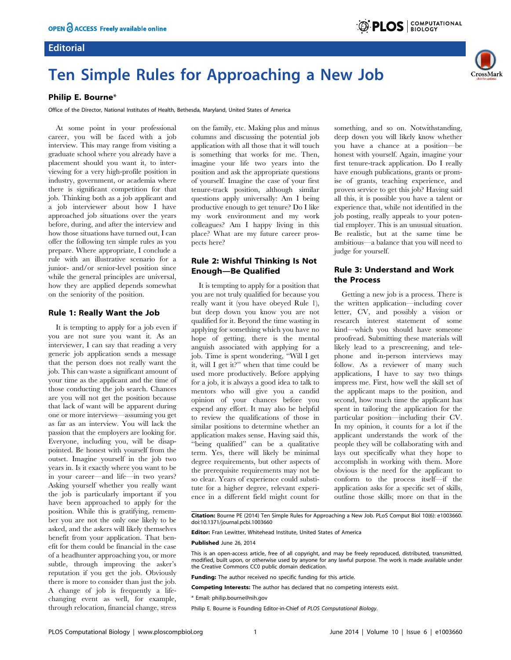## **Editorial**

# Ten Simple Rules for Approaching a New Job

#### Philip E. Bourne\*

Office of the Director, National Institutes of Health, Bethesda, Maryland, United States of America

At some point in your professional career, you will be faced with a job interview. This may range from visiting a graduate school where you already have a placement should you want it, to interviewing for a very high-profile position in industry, government, or academia where there is significant competition for that job. Thinking both as a job applicant and a job interviewer about how I have approached job situations over the years before, during, and after the interview and how those situations have turned out, I can offer the following ten simple rules as you prepare. Where appropriate, I conclude a rule with an illustrative scenario for a junior- and/or senior-level position since while the general principles are universal, how they are applied depends somewhat on the seniority of the position.

#### Rule 1: Really Want the Job

It is tempting to apply for a job even if you are not sure you want it. As an interviewer, I can say that reading a very generic job application sends a message that the person does not really want the job. This can waste a significant amount of your time as the applicant and the time of those conducting the job search. Chances are you will not get the position because that lack of want will be apparent during one or more interviews—assuming you get as far as an interview. You will lack the passion that the employers are looking for. Everyone, including you, will be disappointed. Be honest with yourself from the outset. Imagine yourself in the job two years in. Is it exactly where you want to be in your career—and life—in two years? Asking yourself whether you really want the job is particularly important if you have been approached to apply for the position. While this is gratifying, remember you are not the only one likely to be asked, and the askers will likely themselves benefit from your application. That benefit for them could be financial in the case of a headhunter approaching you, or more subtle, through improving the asker's reputation if you get the job. Obviously there is more to consider than just the job. A change of job is frequently a lifechanging event as well, for example, through relocation, financial change, stress

on the family, etc. Making plus and minus columns and discussing the potential job application with all those that it will touch is something that works for me. Then, imagine your life two years into the position and ask the appropriate questions of yourself. Imagine the case of your first tenure-track position, although similar questions apply universally: Am I being productive enough to get tenure? Do I like my work environment and my work colleagues? Am I happy living in this place? What are my future career prospects here?

#### Rule 2: Wishful Thinking Is Not Enough—Be Qualified

It is tempting to apply for a position that you are not truly qualified for because you really want it (you have obeyed Rule 1), but deep down you know you are not qualified for it. Beyond the time wasting in applying for something which you have no hope of getting, there is the mental anguish associated with applying for a job. Time is spent wondering, ''Will I get it, will I get it?'' when that time could be used more productively. Before applying for a job, it is always a good idea to talk to mentors who will give you a candid opinion of your chances before you expend any effort. It may also be helpful to review the qualifications of those in similar positions to determine whether an application makes sense. Having said this, ''being qualified'' can be a qualitative term. Yes, there will likely be minimal degree requirements, but other aspects of the prerequisite requirements may not be so clear. Years of experience could substitute for a higher degree, relevant experience in a different field might count for something, and so on. Notwithstanding, deep down you will likely know whether you have a chance at a position—be honest with yourself. Again, imagine your first tenure-track application. Do I really have enough publications, grants or promise of grants, teaching experience, and proven service to get this job? Having said all this, it is possible you have a talent or experience that, while not identified in the job posting, really appeals to your potential employer. This is an unusual situation. Be realistic, but at the same time be ambitious—a balance that you will need to judge for yourself.

<sup>:</sup> PLOS | COMPUTATIONAL

#### Rule 3: Understand and Work the Process

Getting a new job is a process. There is the written application—including cover letter, CV, and possibly a vision or research interest statement of some kind—which you should have someone proofread. Submitting these materials will likely lead to a prescreening, and telephone and in-person interviews may follow. As a reviewer of many such applications, I have to say two things impress me. First, how well the skill set of the applicant maps to the position, and second, how much time the applicant has spent in tailoring the application for the particular position—including their CV. In my opinion, it counts for a lot if the applicant understands the work of the people they will be collaborating with and lays out specifically what they hope to accomplish in working with them. More obvious is the need for the applicant to conform to the process itself—if the application asks for a specific set of skills, outline those skills; more on that in the

Citation: Bourne PE (2014) Ten Simple Rules for Approaching a New Job. PLoS Comput Biol 10(6): e1003660. doi:10.1371/journal.pcbi.1003660

Editor: Fran Lewitter, Whitehead Institute, United States of America

#### Published June 26, 2014

This is an open-access article, free of all copyright, and may be freely reproduced, distributed, transmitted, modified, built upon, or otherwise used by anyone for any lawful purpose. The work is made available under the Creative Commons CC0 public domain dedication.

Funding: The author received no specific funding for this article.

Competing Interests: The author has declared that no competing interests exist.

\* Email: philip.bourne@nih.gov

Philip E. Bourne is Founding Editor-in-Chief of PLOS Computational Biology.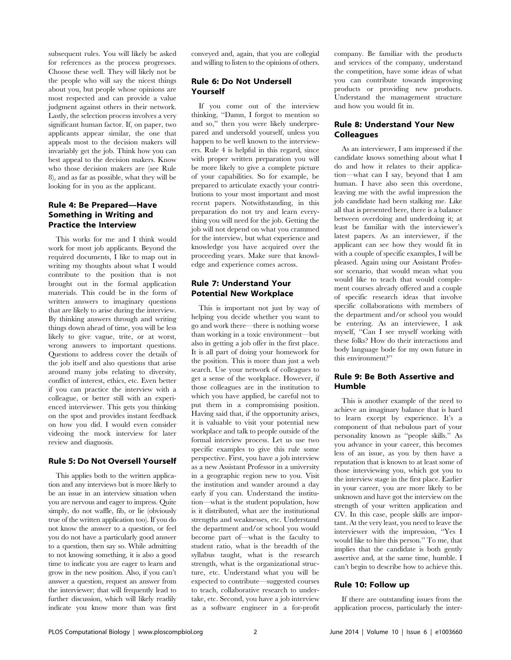subsequent rules. You will likely be asked for references as the process progresses. Choose these well. They will likely not be the people who will say the nicest things about you, but people whose opinions are most respected and can provide a value judgment against others in their network. Lastly, the selection process involves a very significant human factor. If, on paper, two applicants appear similar, the one that appeals most to the decision makers will invariably get the job. Think how you can best appeal to the decision makers. Know who those decision makers are (see Rule 8), and as far as possible, what they will be looking for in you as the applicant.

### Rule 4: Be Prepared—Have Something in Writing and Practice the Interview

This works for me and I think would work for most job applicants. Beyond the required documents, I like to map out in writing my thoughts about what I would contribute to the position that is not brought out in the formal application materials. This could be in the form of written answers to imaginary questions that are likely to arise during the interview. By thinking answers through and writing things down ahead of time, you will be less likely to give vague, trite, or at worst, wrong answers to important questions. Questions to address cover the details of the job itself and also questions that arise around many jobs relating to diversity, conflict of interest, ethics, etc. Even better if you can practice the interview with a colleague, or better still with an experienced interviewer. This gets you thinking on the spot and provides instant feedback on how you did. I would even consider videoing the mock interview for later review and diagnosis.

#### Rule 5: Do Not Oversell Yourself

This applies both to the written application and any interviews but is more likely to be an issue in an interview situation when you are nervous and eager to impress. Quite simply, do not waffle, fib, or lie (obviously true of the written application too). If you do not know the answer to a question, or feel you do not have a particularly good answer to a question, then say so. While admitting to not knowing something, it is also a good time to indicate you are eager to learn and grow in the new position. Also, if you can't answer a question, request an answer from the interviewer; that will frequently lead to further discussion, which will likely readily indicate you know more than was first

conveyed and, again, that you are collegial and willing to listen to the opinions of others.

#### Rule 6: Do Not Undersell Yourself

If you come out of the interview thinking, ''Damn, I forgot to mention so and so,'' then you were likely underprepared and undersold yourself, unless you happen to be well known to the interviewers. Rule 4 is helpful in this regard, since with proper written preparation you will be more likely to give a complete picture of your capabilities. So for example, be prepared to articulate exactly your contributions to your most important and most recent papers. Notwithstanding, in this preparation do not try and learn everything you will need for the job. Getting the job will not depend on what you crammed for the interview, but what experience and knowledge you have acquired over the proceeding years. Make sure that knowledge and experience comes across.

#### Rule 7: Understand Your Potential New Workplace

This is important not just by way of helping you decide whether you want to go and work there—there is nothing worse than working in a toxic environment—but also in getting a job offer in the first place. It is all part of doing your homework for the position. This is more than just a web search. Use your network of colleagues to get a sense of the workplace. However, if those colleagues are in the institution to which you have applied, be careful not to put them in a compromising position. Having said that, if the opportunity arises, it is valuable to visit your potential new workplace and talk to people outside of the formal interview process. Let us use two specific examples to give this rule some perspective. First, you have a job interview as a new Assistant Professor in a university in a geographic region new to you. Visit the institution and wander around a day early if you can. Understand the institution—what is the student population, how is it distributed, what are the institutional strengths and weaknesses, etc. Understand the department and/or school you would become part of—what is the faculty to student ratio, what is the breadth of the syllabus taught, what is the research strength, what is the organizational structure, etc. Understand what you will be expected to contribute—suggested courses to teach, collaborative research to undertake, etc. Second, you have a job interview as a software engineer in a for-profit

company. Be familiar with the products and services of the company, understand the competition, have some ideas of what you can contribute towards improving products or providing new products. Understand the management structure and how you would fit in.

#### Rule 8: Understand Your New **Colleagues**

As an interviewer, I am impressed if the candidate knows something about what I do and how it relates to their application—what can I say, beyond that I am human. I have also seen this overdone, leaving me with the awful impression the job candidate had been stalking me. Like all that is presented here, there is a balance between overdoing and underdoing it; at least be familiar with the interviewer's latest papers. As an interviewer, if the applicant can see how they would fit in with a couple of specific examples, I will be pleased. Again using our Assistant Professor scenario, that would mean what you would like to teach that would complement courses already offered and a couple of specific research ideas that involve specific collaborations with members of the department and/or school you would be entering. As an interviewee, I ask myself, ''Can I see myself working with these folks? How do their interactions and body language bode for my own future in this environment?''

#### Rule 9: Be Both Assertive and Humble

This is another example of the need to achieve an imaginary balance that is hard to learn except by experience. It's a component of that nebulous part of your personality known as ''people skills.'' As you advance in your career, this becomes less of an issue, as you by then have a reputation that is known to at least some of those interviewing you, which got you to the interview stage in the first place. Earlier in your career, you are more likely to be unknown and have got the interview on the strength of your written application and CV. In this case, people skills are important. At the very least, you need to leave the interviewer with the impression, ''Yes I would like to hire this person.'' To me, that implies that the candidate is both gently assertive and, at the same time, humble. I can't begin to describe how to achieve this.

#### Rule 10: Follow up

If there are outstanding issues from the application process, particularly the inter-